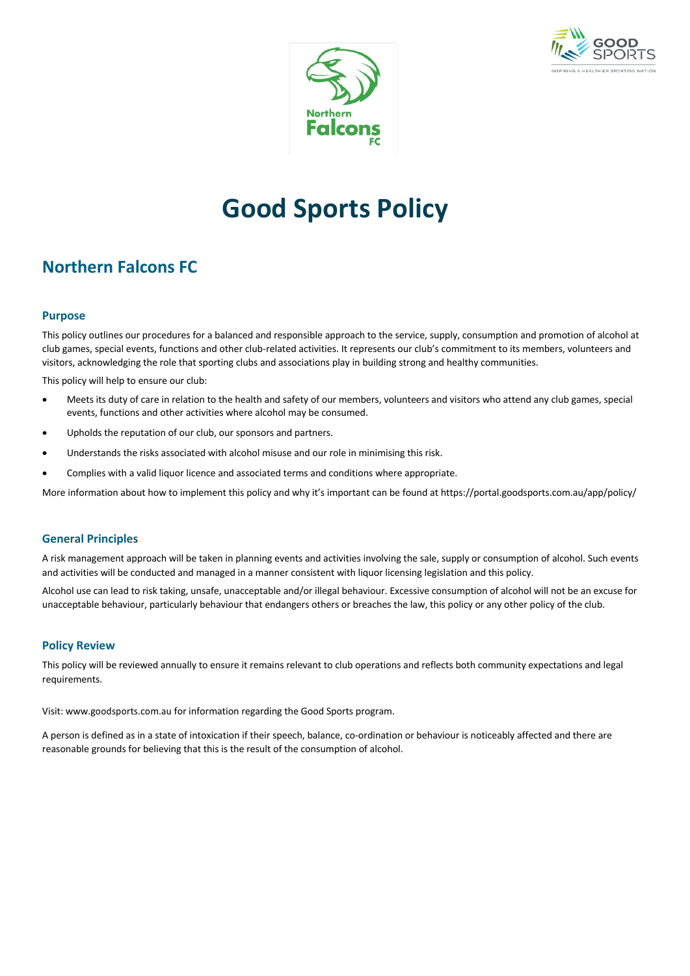



# **Good Sports Policy**

### **Northern Falcons FC**

#### **Purpose**

This policy outlines our procedures for a balanced and responsible approach to the service, supply, consumption and promotion of alcohol at club games, special events, functions and other club-related activities. It represents our club's commitment to its members, volunteers and visitors, acknowledging the role that sporting clubs and associations play in building strong and healthy communities.

This policy will help to ensure our club:

- Meets its duty of care in relation to the health and safety of our members, volunteers and visitors who attend any club games, special events, functions and other activities where alcohol may be consumed.
- Upholds the reputation of our club, our sponsors and partners.
- Understands the risks associated with alcohol misuse and our role in minimising this risk.
- Complies with a valid liquor licence and associated terms and conditions where appropriate.

More information about how to implement this policy and why it's important can be found at https://portal.goodsports.com.au/app/policy/

#### **General Principles**

A risk management approach will be taken in planning events and activities involving the sale, supply or consumption of alcohol. Such events and activities will be conducted and managed in a manner consistent with liquor licensing legislation and this policy.

Alcohol use can lead to risk taking, unsafe, unacceptable and/or illegal behaviour. Excessive consumption of alcohol will not be an excuse for unacceptable behaviour, particularly behaviour that endangers others or breaches the law, this policy or any other policy of the club.

#### **Policy Review**

This policy will be reviewed annually to ensure it remains relevant to club operations and reflects both community expectations and legal requirements.

Visit: www.goodsports.com.au for information regarding the Good Sports program.

A person is defined as in a state of intoxication if their speech, balance, co-ordination or behaviour is noticeably affected and there are reasonable grounds for believing that this is the result of the consumption of alcohol.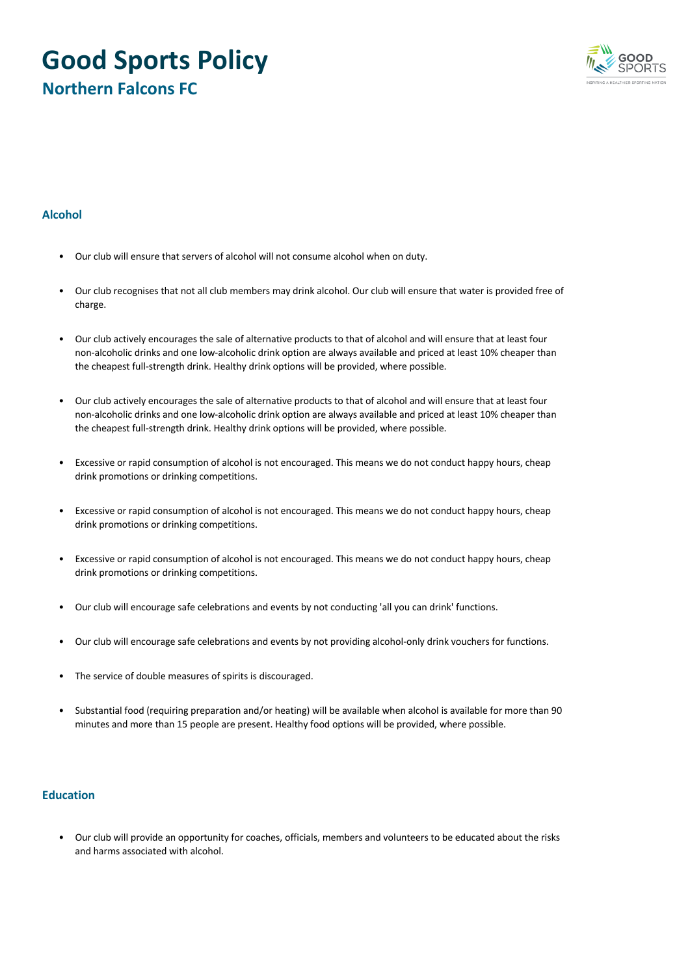## **Good Sports Policy Northern Falcons FC**



#### **Alcohol**

- Our club will ensure that servers of alcohol will not consume alcohol when on duty.
- Our club recognises that not all club members may drink alcohol. Our club will ensure that water is provided free of charge.
- Our club actively encourages the sale of alternative products to that of alcohol and will ensure that at least four non-alcoholic drinks and one low-alcoholic drink option are always available and priced at least 10% cheaper than the cheapest full-strength drink. Healthy drink options will be provided, where possible.
- Our club actively encourages the sale of alternative products to that of alcohol and will ensure that at least four non-alcoholic drinks and one low-alcoholic drink option are always available and priced at least 10% cheaper than the cheapest full-strength drink. Healthy drink options will be provided, where possible.
- Excessive or rapid consumption of alcohol is not encouraged. This means we do not conduct happy hours, cheap drink promotions or drinking competitions.
- Excessive or rapid consumption of alcohol is not encouraged. This means we do not conduct happy hours, cheap drink promotions or drinking competitions.
- Excessive or rapid consumption of alcohol is not encouraged. This means we do not conduct happy hours, cheap drink promotions or drinking competitions.
- Our club will encourage safe celebrations and events by not conducting 'all you can drink' functions.
- Our club will encourage safe celebrations and events by not providing alcohol-only drink vouchers for functions.
- The service of double measures of spirits is discouraged.
- Substantial food (requiring preparation and/or heating) will be available when alcohol is available for more than 90 minutes and more than 15 people are present. Healthy food options will be provided, where possible.

#### **Education**

• Our club will provide an opportunity for coaches, officials, members and volunteers to be educated about the risks and harms associated with alcohol.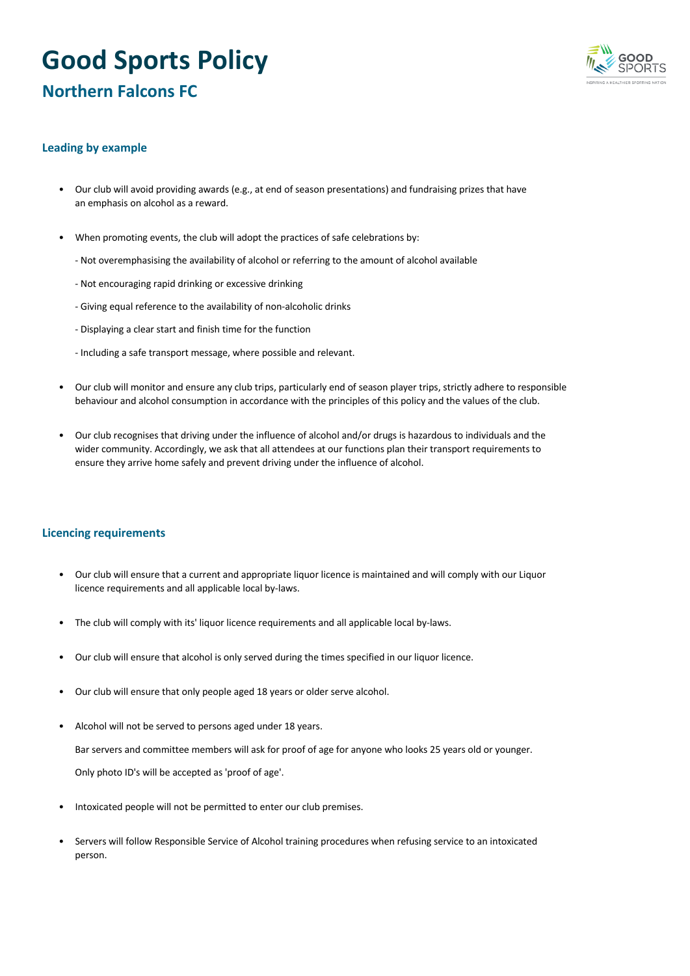# **Good Sports Policy Northern Falcons FC**



#### **Leading by example**

- Our club will avoid providing awards (e.g., at end of season presentations) and fundraising prizes that have an emphasis on alcohol as a reward.
- When promoting events, the club will adopt the practices of safe celebrations by:
	- Not overemphasising the availability of alcohol or referring to the amount of alcohol available
	- Not encouraging rapid drinking or excessive drinking
	- Giving equal reference to the availability of non-alcoholic drinks
	- Displaying a clear start and finish time for the function
	- Including a safe transport message, where possible and relevant.
- Our club will monitor and ensure any club trips, particularly end of season player trips, strictly adhere to responsible behaviour and alcohol consumption in accordance with the principles of this policy and the values of the club.
- Our club recognises that driving under the influence of alcohol and/or drugs is hazardous to individuals and the wider community. Accordingly, we ask that all attendees at our functions plan their transport requirements to ensure they arrive home safely and prevent driving under the influence of alcohol.

#### **Licencing requirements**

- Our club will ensure that a current and appropriate liquor licence is maintained and will comply with our Liquor licence requirements and all applicable local by-laws.
- The club will comply with its' liquor licence requirements and all applicable local by-laws.
- Our club will ensure that alcohol is only served during the times specified in our liquor licence.
- Our club will ensure that only people aged 18 years or older serve alcohol.
- Alcohol will not be served to persons aged under 18 years.

Bar servers and committee members will ask for proof of age for anyone who looks 25 years old or younger.

Only photo ID's will be accepted as 'proof of age'.

- Intoxicated people will not be permitted to enter our club premises.
- Servers will follow Responsible Service of Alcohol training procedures when refusing service to an intoxicated person.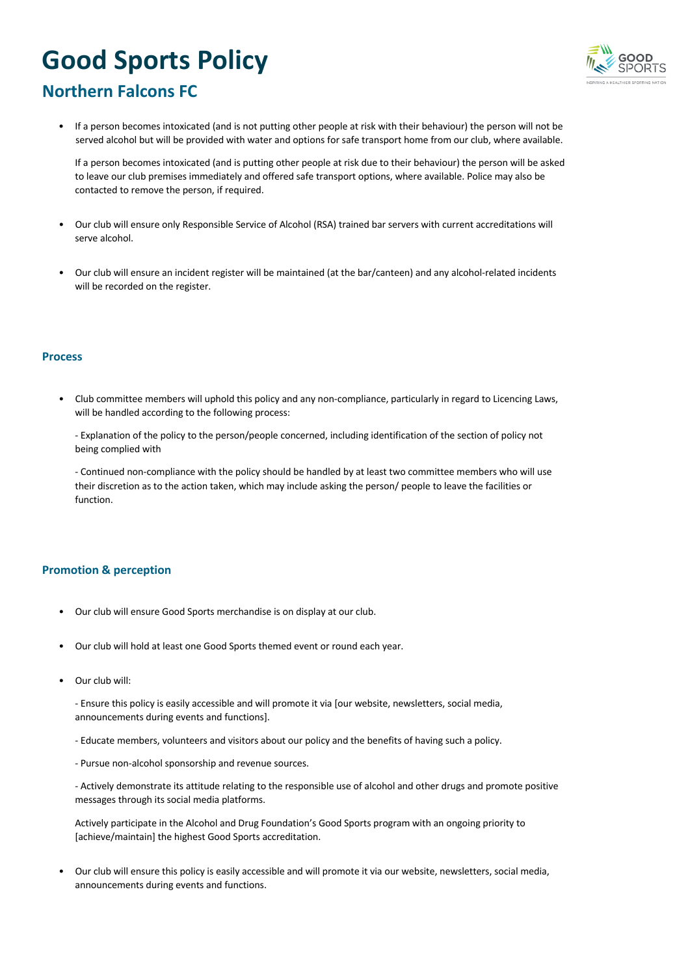# **Good Sports Policy**



## **Northern Falcons FC**

• If a person becomes intoxicated (and is not putting other people at risk with their behaviour) the person will not be served alcohol but will be provided with water and options for safe transport home from our club, where available.

If a person becomes intoxicated (and is putting other people at risk due to their behaviour) the person will be asked to leave our club premises immediately and offered safe transport options, where available. Police may also be contacted to remove the person, if required.

- Our club will ensure only Responsible Service of Alcohol (RSA) trained bar servers with current accreditations will serve alcohol.
- Our club will ensure an incident register will be maintained (at the bar/canteen) and any alcohol-related incidents will be recorded on the register.

#### **Process**

- Club committee members will uphold this policy and any non-compliance, particularly in regard to Licencing Laws, will be handled according to the following process:
	- Explanation of the policy to the person/people concerned, including identification of the section of policy not being complied with

- Continued non-compliance with the policy should be handled by at least two committee members who will use their discretion as to the action taken, which may include asking the person/ people to leave the facilities or function.

#### **Promotion & perception**

- Our club will ensure Good Sports merchandise is on display at our club.
- Our club will hold at least one Good Sports themed event or round each year.
- Our club will:

- Ensure this policy is easily accessible and will promote it via [our website, newsletters, social media, announcements during events and functions].

- Educate members, volunteers and visitors about our policy and the benefits of having such a policy.
- Pursue non-alcohol sponsorship and revenue sources.

- Actively demonstrate its attitude relating to the responsible use of alcohol and other drugs and promote positive messages through its social media platforms.

Actively participate in the Alcohol and Drug Foundation's Good Sports program with an ongoing priority to [achieve/maintain] the highest Good Sports accreditation.

• Our club will ensure this policy is easily accessible and will promote it via our website, newsletters, social media, announcements during events and functions.